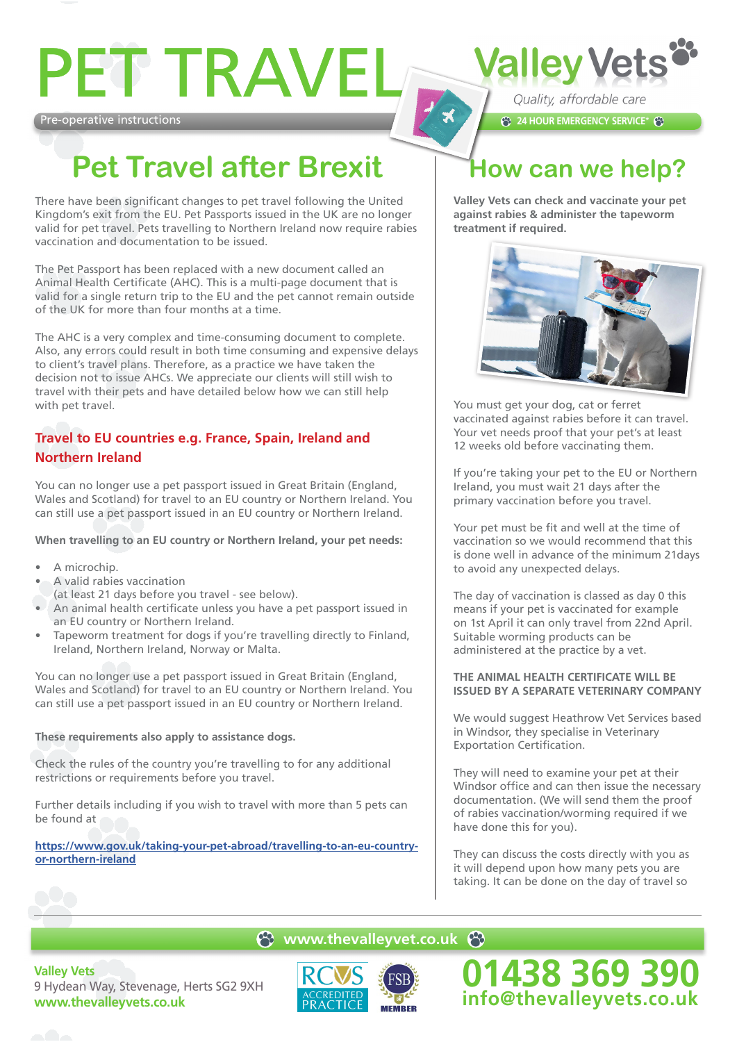# PET TRAVEI

Pre-operative instructions

## **Pet Travel after Brexit**

There have been significant changes to pet travel following the United Kingdom's exit from the EU. Pet Passports issued in the UK are no longer valid for pet travel. Pets travelling to Northern Ireland now require rabies vaccination and documentation to be issued.

The Pet Passport has been replaced with a new document called an Animal Health Certificate (AHC). This is a multi-page document that is valid for a single return trip to the EU and the pet cannot remain outside of the UK for more than four months at a time.

The AHC is a very complex and time-consuming document to complete. Also, any errors could result in both time consuming and expensive delays to client's travel plans. Therefore, as a practice we have taken the decision not to issue AHCs. We appreciate our clients will still wish to travel with their pets and have detailed below how we can still help with pet travel.

### **Travel to EU countries e.g. France, Spain, Ireland and Northern Ireland**

You can no longer use a pet passport issued in Great Britain (England, Wales and Scotland) for travel to an EU country or Northern Ireland. You can still use a pet passport issued in an EU country or Northern Ireland.

**When travelling to an EU country or Northern Ireland, your pet needs:**

- A microchip.
- A valid rabies vaccination
- (at least 21 days before you travel see below).
- An animal health certificate unless you have a pet passport issued in an EU country or Northern Ireland.
- Tapeworm treatment for dogs if you're travelling directly to Finland, Ireland, Northern Ireland, Norway or Malta.

You can no longer use a pet passport issued in Great Britain (England, Wales and Scotland) for travel to an EU country or Northern Ireland. You can still use a pet passport issued in an EU country or Northern Ireland.

**These requirements also apply to assistance dogs.**

Check the rules of the country you're travelling to for any additional restrictions or requirements before you travel.

Further details including if you wish to travel with more than 5 pets can be found at

**https://www.gov.uk/taking-your-pet-abroad/travelling-to-an-eu-countryor-northern-ireland**

## **How can we help?**

**24 HOUR EMERGENCY SERVICE\*** 

Quality, affordable care

**Valley Vets** 

**Valley Vets can check and vaccinate your pet against rabies & administer the tapeworm treatment if required.**



You must get your dog, cat or ferret vaccinated against rabies before it can travel. Your vet needs proof that your pet's at least 12 weeks old before vaccinating them.

If you're taking your pet to the EU or Northern Ireland, you must wait 21 days after the primary vaccination before you travel.

Your pet must be fit and well at the time of vaccination so we would recommend that this is done well in advance of the minimum 21days to avoid any unexpected delays.

The day of vaccination is classed as day 0 this means if your pet is vaccinated for example on 1st April it can only travel from 22nd April. Suitable worming products can be administered at the practice by a vet.

#### **THE ANIMAL HEALTH CERTIFICATE WILL BE ISSUED BY A SEPARATE VETERINARY COMPANY**

We would suggest Heathrow Vet Services based in Windsor, they specialise in Veterinary Exportation Certification.

They will need to examine your pet at their Windsor office and can then issue the necessary documentation. (We will send them the proof of rabies vaccination/worming required if we have done this for you).

They can discuss the costs directly with you as it will depend upon how many pets you are taking. It can be done on the day of travel so

**01438 369 390 info@thevalleyvets.co.uk**

#### **e** www.thevalleyvet.co.uk **e**